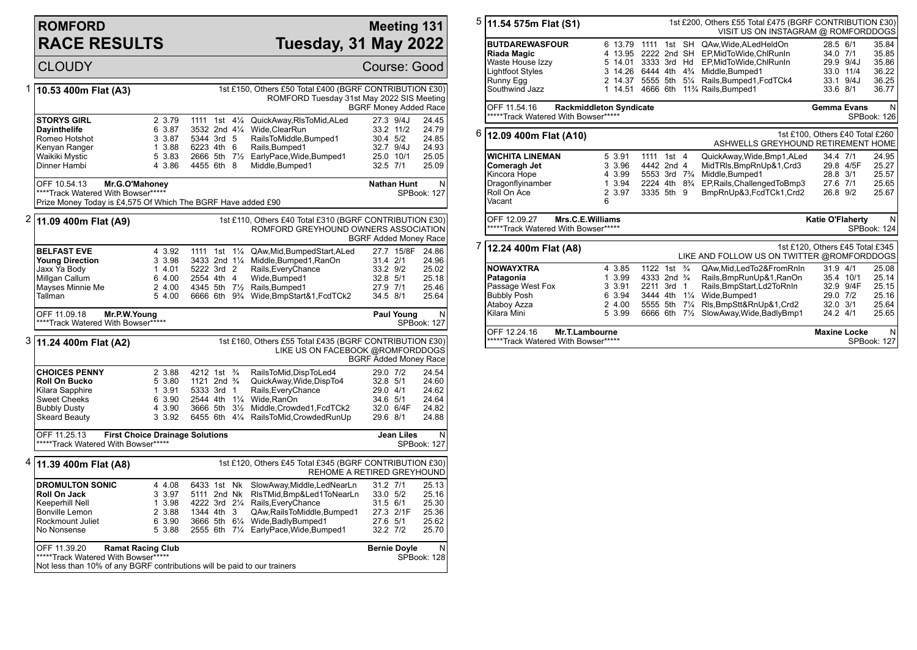## **ROMFORD RACE RESULTS**

## **Meeting 131 Tuesday, 31 May 2022**

|   | <b>CLOUDY</b>                                                                                                                        |                                                          |                                                                                                                         |                                                                                                                                                                                                                                 | Course: Good                                                             |                                                    |
|---|--------------------------------------------------------------------------------------------------------------------------------------|----------------------------------------------------------|-------------------------------------------------------------------------------------------------------------------------|---------------------------------------------------------------------------------------------------------------------------------------------------------------------------------------------------------------------------------|--------------------------------------------------------------------------|----------------------------------------------------|
| 1 | 10.53 400m Flat (A3)                                                                                                                 |                                                          |                                                                                                                         | 1st £150, Others £50 Total £400 (BGRF CONTRIBUTION £30)<br>ROMFORD Tuesday 31st May 2022 SIS Meeting                                                                                                                            | <b>BGRF Money Added Race</b>                                             |                                                    |
|   | <b>STORYS GIRL</b><br><b>Dayinthelife</b><br>Romeo Hotshot<br>Kenyan Ranger<br>Waikiki Mystic<br>Dinner Hambi                        | 2 3.79<br>6 3.87<br>3 3.87<br>1 3.88<br>5 3.83<br>4 3.86 | 1111 1st 41/4<br>3532 2nd 41/4<br>5344 3rd 5<br>6223 4th 6<br>4455 6th 8                                                | QuickAway, RIsToMid, ALed<br>Wide, ClearRun<br>RailsToMiddle,Bumped1<br>Rails, Bumped1<br>2666 5th 71/2 EarlyPace, Wide, Bumped1<br>Middle, Bumped1                                                                             | 27.3 9/4J<br>33.2 11/2<br>30.4 5/2<br>32.7 9/4J<br>25.0 10/1<br>32.5 7/1 | 24.45<br>24.79<br>24.85<br>24.93<br>25.05<br>25.09 |
|   | OFF 10.54.13<br>Mr.G.O'Mahoney<br>****Track Watered With Bowser*****<br>Prize Money Today is £4,575 Of Which The BGRF Have added £90 |                                                          |                                                                                                                         |                                                                                                                                                                                                                                 | <b>Nathan Hunt</b>                                                       | N<br><b>SPBook: 127</b>                            |
|   | 11.09 400m Flat (A9)                                                                                                                 |                                                          |                                                                                                                         | 1st £110, Others £40 Total £310 (BGRF CONTRIBUTION £30)<br>ROMFORD GREYHOUND OWNERS ASSOCIATION                                                                                                                                 | <b>BGRF Added Money Race</b>                                             |                                                    |
|   | <b>BELFAST EVE</b><br><b>Young Direction</b><br>Jaxx Ya Body<br>Millgan Callum<br>Mayses Minnie Me<br>Tallman                        | 4 3.92<br>3 3.98<br>1 4.01<br>6 4.00<br>2 4.00<br>5 4.00 | 5222 3rd 2<br>2554 4th 4                                                                                                | 1111 1st 11/4 QAw, Mid, Bumped Start, ALed<br>3433 2nd 11/4 Middle, Bumped 1, RanOn<br>Rails, Every Chance<br>Wide, Bumped1<br>4345 5th 71/2 Rails, Bumped1<br>6666 6th 9 <sup>3</sup> / <sub>4</sub> Wide, BmpStart&1, FcdTCk2 | 27.7 15/8F<br>31.4 2/1<br>33.2 9/2<br>32.8 5/1<br>27.9 7/1<br>34.5 8/1   | 24.86<br>24.96<br>25.02<br>25.18<br>25.46<br>25.64 |
|   | OFF 11.09.18<br>Mr.P.W.Young<br>****Track Watered With Bowser*****                                                                   |                                                          |                                                                                                                         |                                                                                                                                                                                                                                 | <b>Paul Young</b>                                                        | N<br><b>SPBook: 127</b>                            |
|   | 3  11.24 400m Flat (A2)                                                                                                              |                                                          |                                                                                                                         | 1st £160, Others £55 Total £435 (BGRF CONTRIBUTION £30)<br>LIKE US ON FACEBOOK @ROMFORDDOGS                                                                                                                                     | <b>BGRF Added Money Race</b>                                             |                                                    |
|   | <b>CHOICES PENNY</b><br>Roll On Bucko<br>Kilara Sapphire<br><b>Sweet Cheeks</b><br><b>Bubbly Dusty</b><br><b>Skeard Beauty</b>       | 2 3.88<br>5 3.80<br>1 3.91<br>6 3.90<br>4 3.90<br>3 3.92 | 4212 1st <sup>3</sup> / <sub>4</sub><br>1121 2nd <sup>3</sup> / <sub>4</sub><br>5333 3rd 1<br>2544 4th 11/4 Wide, RanOn | RailsToMid, DispToLed4<br>QuickAway, Wide, DispTo4<br>Rails, Every Chance<br>3666 5th 31/2 Middle, Crowded1, FcdTCk2<br>6455 6th 41/4 RailsToMid, Crowded RunUp                                                                 | 29.0 7/2<br>32.8 5/1<br>29.0 4/1<br>34.6 5/1<br>32.0 6/4F<br>29.6 8/1    | 24.54<br>24.60<br>24.62<br>24.64<br>24.82<br>24.88 |
|   | OFF 11.25.13<br>*****Track Watered With Bowser*****                                                                                  | <b>First Choice Drainage Solutions</b>                   |                                                                                                                         |                                                                                                                                                                                                                                 | Jean Liles                                                               | N<br><b>SPBook: 127</b>                            |
| 4 | 11.39 400m Flat (A8)                                                                                                                 |                                                          |                                                                                                                         | 1st £120, Others £45 Total £345 (BGRF CONTRIBUTION £30)<br>REHOME A RETIRED GREYHOUND                                                                                                                                           |                                                                          |                                                    |
|   | <b>DROMULTON SONIC</b><br>Roll On Jack<br>Keeperhill Nell<br><b>Bonville Lemon</b><br>Rockmount Juliet<br>No Nonsense                | 4 4.08<br>3 3.97<br>1 3.98<br>2 3.88<br>6 3.90<br>5 3.88 | 6433 1st Nk<br>5111 2nd Nk<br>4222 3rd 21/4<br>1344 4th 3                                                               | SlowAway, Middle, LedNearLn<br>RIsTMid,Bmp&Led1ToNearLn<br>Rails, Every Chance<br>QAw, Rails To Middle, Bumped 1<br>3666 5th 61/4 Wide, Badly Bumped1<br>2555 6th 71/4 EarlyPace, Wide, Bumped 1                                | 31.2 7/1<br>33.0 5/2<br>31.5 6/1<br>27.3 2/1F<br>27.6 5/1<br>32.2 7/2    | 25.13<br>25.16<br>25.30<br>25.36<br>25.62<br>25.70 |
|   | OFF 11.39.20<br>*****Track Watered With Bowser*****                                                                                  | <b>Ramat Racing Club</b>                                 |                                                                                                                         |                                                                                                                                                                                                                                 | <b>Bernie Doyle</b>                                                      | N<br>SPBook: 128                                   |

Not less than 10% of any BGRF contributions will be paid to our trainers

| 5 | 11.54 575m Flat (S1)                                                                                                      |                                                                   |                                                                                        |         |                                                                                     | 1st £200, Others £55 Total £475 (BGRF CONTRIBUTION £30)<br>VISIT US ON INSTAGRAM @ ROMFORDDOGS                                                                                                                  |                                                           |                                     |                                                    |
|---|---------------------------------------------------------------------------------------------------------------------------|-------------------------------------------------------------------|----------------------------------------------------------------------------------------|---------|-------------------------------------------------------------------------------------|-----------------------------------------------------------------------------------------------------------------------------------------------------------------------------------------------------------------|-----------------------------------------------------------|-------------------------------------|----------------------------------------------------|
|   | <b>BUTDAREWASFOUR</b><br><b>Riada Magic</b><br>Waste House Izzv<br><b>Lightfoot Styles</b><br>Runny Egg<br>Southwind Jazz | 6 13.79<br>4 13.95<br>5 14.01<br>3 14.26<br>2 14.37<br>1 14.51    | 1111<br>3333 3rd<br>4666 6th                                                           |         | 1st SH<br>Hd                                                                        | QAw, Wide, ALedHeldOn<br>2222 2nd SH EP.MidToWide.ChlRunIn<br>EP.MidToWide.ChlRunIn<br>6444 4th 4 <sup>3</sup> / <sub>4</sub> Middle, Bumped 1<br>5555 5th 51/4 Rails, Bumped 1, Fcd TCk4<br>11% Rails, Bumped1 | 28.5 6/1<br>34.0 7/1<br>33.6 8/1                          | 29.9 9/4J<br>33.0 11/4<br>33.1 9/4J | 35.84<br>35.85<br>35.86<br>36.22<br>36.25<br>36.77 |
|   | OFF 11.54.16<br><b>Rackmiddleton Syndicate</b><br>*****Track Watered With Bowser*****                                     |                                                                   |                                                                                        |         |                                                                                     |                                                                                                                                                                                                                 | <b>Gemma Evans</b>                                        |                                     | N<br>SPBook: 126                                   |
| 6 | 12.09 400m Flat (A10)                                                                                                     |                                                                   |                                                                                        |         |                                                                                     | ASHWELLS GREYHOUND RETIREMENT HOME                                                                                                                                                                              | 1st £100. Others £40 Total £260                           |                                     |                                                    |
|   | <b>WICHITA LINEMAN</b><br>Comeragh Jet<br>Kincora Hope<br>Dragonflyinamber<br>Roll On Ace<br>Vacant                       | 5 3.91<br>3 3.96<br>4 3.99<br>3.94<br>$\mathbf{1}$<br>2 3.97<br>6 | 1111<br>4442 2nd 4<br>5553 3rd 7 <sup>3</sup> / <sub>4</sub><br>2224 4th<br>3335 5th 9 | 1st $4$ | $8\frac{3}{4}$                                                                      | QuickAway, Wide, Bmp1, ALed<br>MidTRIs, BmpRnUp&1, Crd3<br>Middle, Bumped1<br>EP, Rails, Challenged To Bmp3<br>BmpRnUp&3,FcdTCk1,Crd2                                                                           | 34.4 7/1<br>28.8 3/1<br>27.6 7/1<br>26.8 9/2              | 29.8 4/5F                           | 24.95<br>25.27<br>25.57<br>25.65<br>25.67          |
|   | Mrs.C.E.Williams<br>OFF 12.09.27<br>*****Track Watered With Bowser*****                                                   |                                                                   |                                                                                        |         |                                                                                     |                                                                                                                                                                                                                 | Katie O'Flaherty                                          |                                     | N<br>SPBook: 124                                   |
|   | 1st £120. Others £45 Total £345<br>12.24 400m Flat (A8)<br>LIKE AND FOLLOW US ON TWITTER @ROMFORDDOGS                     |                                                                   |                                                                                        |         |                                                                                     |                                                                                                                                                                                                                 |                                                           |                                     |                                                    |
|   | <b>NOWAYXTRA</b><br>Patagonia<br>Passage West Fox<br><b>Bubbly Posh</b><br>Ataboy Azza<br>Kilara Mini                     | 4 3.85<br>1 3.99<br>3 3.91<br>6 3.94<br>2 4.00<br>5 3.99          | 1122 1st<br>4333 2nd 34<br>2211 3rd<br>3444 4th<br>5555 5th<br>6666 6th                |         | $\frac{3}{4}$<br>$\mathbf{1}$<br>$1\frac{1}{4}$<br>$7\frac{1}{4}$<br>$7\frac{1}{2}$ | QAw, Mid, Led To 2& From Rn In<br>Rails, BmpRunUp&1, RanOn<br>Rails, BmpStart, Ld2ToRnIn<br>Wide, Bumped1<br>RIs, BmpStt&RnUp&1, Crd2<br>SlowAway, Wide, BadlyBmp1                                              | 31.9 4/1<br>35.4 10/1<br>29.0 7/2<br>32.0 3/1<br>24.2 4/1 | 32.9 9/4F                           | 25.08<br>25.14<br>25.15<br>25.16<br>25.64<br>25.65 |
|   | OFF 12.24.16<br><b>Mr.T.Lambourne</b>                                                                                     |                                                                   |                                                                                        |         |                                                                                     |                                                                                                                                                                                                                 | <b>Maxine Locke</b>                                       |                                     | N                                                  |

SPBook: 127

\*\*\*\*\*Track Watered With Bowser\*\*\*\*\*